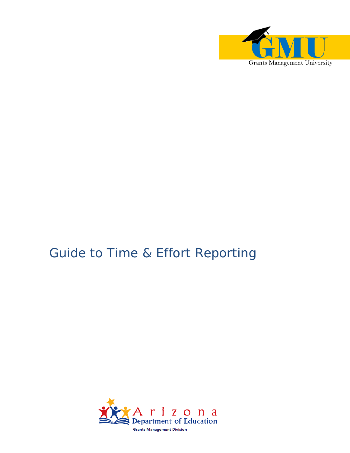

# Guide to Time & Effort Reporting

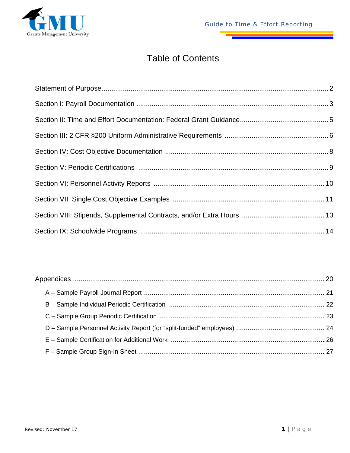

## Table of Contents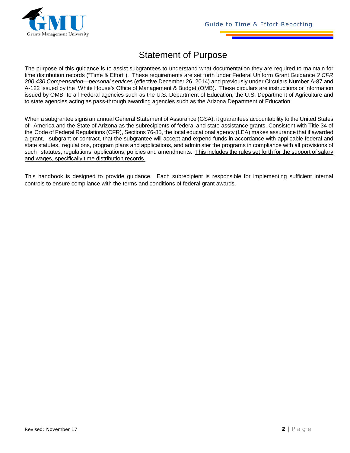

### Statement of Purpose

The purpose of this guidance is to assist subgrantees to understand what documentation they are required to maintain for time distribution records ("Time & Effort"). These requirements are set forth under Federal Uniform Grant Guidance *2 CFR 200.430 Compensation—personal services* (effective December 26, 2014) and previously under Circulars Number A-87 and A-122 issued by the White House's Office of Management & Budget (OMB). These circulars are instructions or information issued by OMB to all Federal agencies such as the U.S. Department of Education, the U.S. Department of Agriculture and to state agencies acting as pass-through awarding agencies such as the Arizona Department of Education.

When a subgrantee signs an annual General Statement of Assurance (GSA), it guarantees accountability to the United States of America and the State of Arizona as the subrecipients of federal and state assistance grants. Consistent with Title 34 of the Code of Federal Regulations (CFR), Sections 76-85, the local educational agency (LEA) makes assurance that if awarded a grant, subgrant or contract, that the subgrantee will accept and expend funds in accordance with applicable federal and state statutes, regulations, program plans and applications, and administer the programs in compliance with all provisions of such statutes, regulations, applications, policies and amendments. This includes the rules set forth for the support of salary and wages, specifically time distribution records.

This handbook is designed to provide guidance. Each subrecipient is responsible for implementing sufficient internal controls to ensure compliance with the terms and conditions of federal grant awards.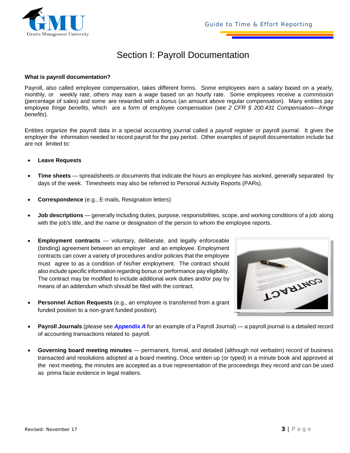

### Section I: Payroll Documentation

#### **What is payroll documentation?**

Payroll, also called employee compensation, takes different forms. Some employees earn a *salary* based on a yearly, monthly, or weekly rate; others may earn a *wage* based on an hourly rate. Some employees receive a *commission*  (percentage of sales) and some are rewarded with a *bonus* (an amount above regular compensation). Many entities pay employee *fringe benefits*, which are a form of employee compensation (see *2 CFR § 200.431 Compensation—fringe benefits*).

Entities organize the payroll data in a special accounting journal called a *payroll register* or payroll journal. It gives the employer the information needed to record payroll for the pay period. Other examples of payroll documentation include but are not limited to:

- **Leave Requests**
- **Time sheets** spreadsheets or documents that indicate the hours an employee has worked, generally separated by days of the week. Timesheets may also be referred to Personal Activity Reports (PARs).
- **Correspondence** (e.g., E-mails, Resignation letters)
- **Job descriptions** generally including duties, purpose, responsibilities, scope, and working conditions of a job along with the job's title, and the name or designation of the person to whom the employee reports.
- **Employment contracts** voluntary, deliberate, and legally enforceable (binding) agreement between an employer and an employee. Employment contracts can cover a variety of procedures and/or policies that the employee must agree to as a condition of his/her employment. The contract should also include specific information regarding bonus or performance pay eligibility. The contract may be modified to include additional work duties and/or pay by means of an addendum which should be filed with the contract.
- **Personnel Action Requests** (e.g., an employee is transferred from a grant funded position to a non-grant funded position).



- **Payroll Journals** (please see *Appendix A* for an example of a Payroll Journal) a payroll journal is a detailed record of accounting transactions related to payroll.
- **Governing board meeting minutes** permanent, formal, and detailed (although not verbatim) record of business transacted and resolutions adopted at a board meeting. Once written up (or typed) in a minute book and approved at the next meeting, the minutes are accepted as a true representation of the proceedings they record and can be used as prima facie evidence in legal matters.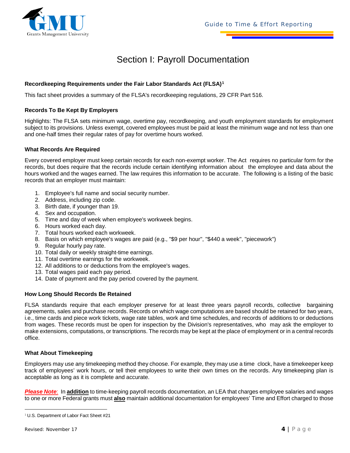

### Section I: Payroll Documentation

#### **Recordkeeping Requirements under the Fair Labor Standards Act (FLSA)[1](#page-4-0)**

This fact sheet provides a summary of the FLSA's recordkeeping regulations, 29 CFR Part 516.

#### **Records To Be Kept By Employers**

Highlights: The FLSA sets minimum wage, overtime pay, recordkeeping, and youth employment standards for employment subject to its provisions. Unless exempt, covered employees must be paid at least the minimum wage and not less than one and one-half times their regular rates of pay for overtime hours worked.

#### **What Records Are Required**

Every covered employer must keep certain records for each non-exempt worker. The Act requires no particular form for the records, but does require that the records include certain identifying information about the employee and data about the hours worked and the wages earned. The law requires this information to be accurate. The following is a listing of the basic records that an employer must maintain:

- 1. Employee's full name and social security number.
- 2. Address, including zip code.
- 3. Birth date, if younger than 19.
- 4. Sex and occupation.
- 5. Time and day of week when employee's workweek begins.
- 6. Hours worked each day.
- 7. Total hours worked each workweek.
- 8. Basis on which employee's wages are paid (e.g., "\$9 per hour", "\$440 a week", "piecework")
- 9. Regular hourly pay rate.
- 10. Total daily or weekly straight-time earnings.
- 11. Total overtime earnings for the workweek.
- 12. All additions to or deductions from the employee's wages.
- 13. Total wages paid each pay period.
- 14. Date of payment and the pay period covered by the payment.

#### **How Long Should Records Be Retained**

FLSA standards require that each employer preserve for at least three years payroll records, collective bargaining agreements, sales and purchase records. Records on which wage computations are based should be retained for two years, i.e., time cards and piece work tickets, wage rate tables, work and time schedules, and records of additions to or deductions from wages. These records must be open for inspection by the Division's representatives, who may ask the employer to make extensions, computations, or transcriptions. The records may be kept at the place of employment or in a central records office.

#### **What About Timekeeping**

Employers may use any timekeeping method they choose. For example, they may use a time clock, have a timekeeper keep track of employees' work hours, or tell their employees to write their own times on the records. Any timekeeping plan is acceptable as long as it is complete and accurate.

*Please Note*: In **addition** to time-keeping payroll records documentation, an LEA that charges employee salaries and wages to one or more Federal grants must **also** maintain additional documentation for employees' Time and Effort charged to those

<span id="page-4-0"></span> $\overline{a}$ <sup>1</sup> U.S. Department of Labor Fact Sheet #21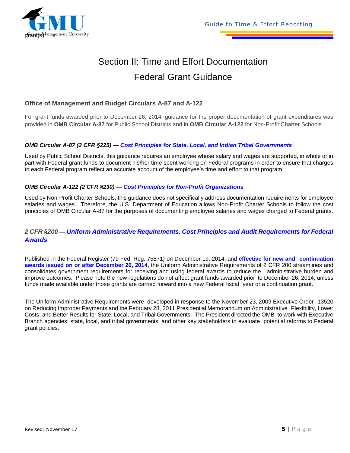

## Section II: Time and Effort Documentation Federal Grant Guidance

#### **Office of Management and Budget Circulars A-87 and A-122**

For grant funds awarded prior to December 26, 2014, guidance for the proper documentation of grant expenditures was provided in **OMB Circular A-87** for Public School Districts and in **OMB Circular A-122** for Non-Profit Charter Schools.

#### *OMB Circular A-87 (2 CFR §225) — Cost Principles for State, Local, and Indian Tribal Governments*

Used by Public School Districts, this guidance requires an employee whose salary and wages are supported, in whole or in part with Federal grant funds to document his/her time spent working on Federal programs in order to ensure that charges to each Federal program reflect an accurate account of the employee's time and effort to that program.

#### *OMB Circular A-122 (2 CFR §230) — Cost Principles for Non-Profit Organizations*

Used by Non-Profit Charter Schools, this guidance does not specifically address documentation requirements for employee salaries and wages. Therefore, the U.S. Department of Education allows Non-Profit Charter Schools to follow the cost principles of OMB Circular A-87 for the purposes of documenting employee salaries and wages charged to Federal grants.

#### *2 CFR §200 — Uniform Administrative Requirements, Cost Principles and Audit Requirements for Federal Awards*

Published in the Federal Register (79 Fed. Reg. 75871) on December 19, 2014, and **effective for new and continuation awards issued on or after December 26, 2014**, the Uniform Administrative Requirements of 2 CFR 200 streamlines and consolidates government requirements for receiving and using federal awards to reduce the administrative burden and improve outcomes. Please note the new regulations do not affect grant funds awarded prior to December 26, 2014, unless funds made available under those grants are carried forward into a new Federal fiscal year or a continuation grant.

The Uniform Administrative Requirements were developed in response to the November 23, 2009 Executive Order 13520 on Reducing Improper Payments and the February 28, 2011 Presidential Memorandum on Administrative Flexibility, Lower Costs, and Better Results for State, Local, and Tribal Governments. The President directed the OMB to work with Executive Branch agencies; state, local, and tribal governments; and other key stakeholders to evaluate potential reforms to Federal grant policies.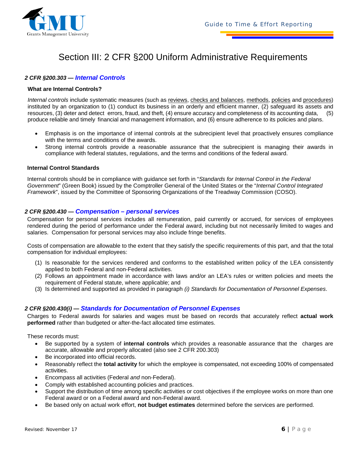

### Section III: 2 CFR §200 Uniform Administrative Requirements

#### *2 CFR §200.303 — Internal Controls*

#### **What are Internal Controls?**

*Internal controls* include systematic measures (such as reviews, checks and balances, methods, policies and procedures) instituted by an organization to (1) conduct its business in an orderly and efficient manner, (2) safeguard its assets and resources, (3) deter and detect errors, fraud, and theft, (4) ensure accuracy and completeness of its accounting data, (5) produce reliable and timely financial and management information, and (6) ensure adherence to its policies and plans.

- Emphasis is on the importance of internal controls at the subrecipient level that proactively ensures compliance with the terms and conditions of the awards.
- Strong internal controls provide a reasonable assurance that the subrecipient is managing their awards in compliance with federal statutes, regulations, and the terms and conditions of the federal award.

#### **Internal Control Standards**

Internal controls should be in compliance with guidance set forth in "*Standards for Internal Control in the Federal Government*" (Green Book) issued by the Comptroller General of the United States or the "*Internal Control Integrated Framework*", issued by the Committee of Sponsoring Organizations of the Treadway Commission (COSO).

#### *2 CFR §200.430 — Compensation – personal services*

Compensation for personal services includes all remuneration, paid currently or accrued, for services of employees rendered during the period of performance under the Federal award, including but not necessarily limited to wages and salaries. Compensation for personal services may also include fringe benefits.

Costs of compensation are allowable to the extent that they satisfy the specific requirements of this part, and that the total compensation for individual employees:

- (1) Is reasonable for the services rendered and conforms to the established written policy of the LEA consistently applied to both Federal and non-Federal activities.
- (2) Follows an appointment made in accordance with laws and/or an LEA's rules or written policies and meets the requirement of Federal statute, where applicable; and
- (3) Is determined and supported as provided in paragraph *(i) Standards for Documentation of Personnel Expenses*.

#### *2 CFR §200.430(i) — Standards for Documentation of Personnel Expenses*

Charges to Federal awards for salaries and wages must be based on records that accurately reflect **actual work performed** rather than budgeted or after-the-fact allocated time estimates.

These records must:

- Be supported by a system of **internal controls** which provides a reasonable assurance that the charges are accurate, allowable and properly allocated (also see 2 CFR 200.303)
- Be incorporated into official records.
- Reasonably reflect the **total activity** for which the employee is compensated, not exceeding 100% of compensated activities.
- Encompass all activities (Federal *and* non-Federal).
- Comply with established accounting policies and practices.
- Support the distribution of time among specific activities or cost objectives if the employee works on more than one Federal award or on a Federal award and non-Federal award.
- Be based only on actual work effort, **not budget estimates** determined before the services are performed.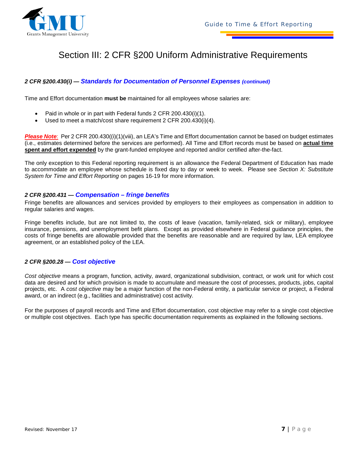

### Section III: 2 CFR §200 Uniform Administrative Requirements

#### *2 CFR §200.430(i) — Standards for Documentation of Personnel Expenses (continued)*

Time and Effort documentation **must be** maintained for all employees whose salaries are:

- Paid in whole or in part with Federal funds 2 CFR 200.430(i)(1).
- Used to meet a match/cost share requirement 2 CFR 200.430(i)(4).

*Please Note*: Per 2 CFR 200.430((i)(1)(viii), an LEA's Time and Effort documentation cannot be based on budget estimates (i.e., estimates determined before the services are performed). All Time and Effort records must be based on **actual time spent and effort expended** by the grant-funded employee and reported and/or certified after-the-fact.

The only exception to this Federal reporting requirement is an allowance the Federal Department of Education has made to accommodate an employee whose schedule is fixed day to day or week to week. Please see *Section X: Substitute System for Time and Effort Reporting* on pages 16-19 for more information.

#### *2 CFR §200.431 — Compensation – fringe benefits*

Fringe benefits are allowances and services provided by employers to their employees as compensation in addition to regular salaries and wages.

Fringe benefits include, but are not limited to, the costs of leave (vacation, family-related, sick or military), employee insurance, pensions, and unemployment befit plans. Except as provided elsewhere in Federal guidance principles, the costs of fringe benefits are allowable provided that the benefits are reasonable and are required by law, LEA employee agreement, or an established policy of the LEA.

#### *2 CFR §200.28 — Cost objective*

*Cost objective* means a program, function, activity, award, organizational subdivision, contract, or work unit for which cost data are desired and for which provision is made to accumulate and measure the cost of processes, products, jobs, capital projects, etc. A *cost objective* may be a major function of the non-Federal entity, a particular service or project, a Federal award, or an indirect (e.g., facilities and administrative) cost activity.

For the purposes of payroll records and Time and Effort documentation, cost objective may refer to a single cost objective or multiple cost objectives. Each type has specific documentation requirements as explained in the following sections.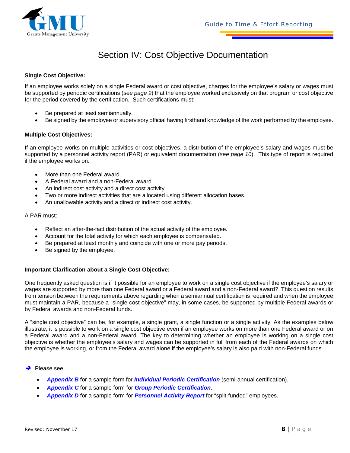

### Section IV: Cost Objective Documentation

#### **Single Cost Objective:**

If an employee works solely on a single Federal award or cost objective, charges for the employee's salary or wages must be supported by periodic certifications (*see page 9*) that the employee worked exclusively on that program or cost objective for the period covered by the certification. Such certifications must:

- Be prepared at least semiannually.
- Be signed by the employee or supervisory official having firsthand knowledge of the work performed by the employee.

#### **Multiple Cost Objectives:**

If an employee works on multiple activities or cost objectives, a distribution of the employee's salary and wages must be supported by a personnel activity report (PAR) or equivalent documentation (*see page 10*). This type of report is required if the employee works on:

- More than one Federal award.
- A Federal award and a non-Federal award.
- An indirect cost activity and a direct cost activity.
- Two or more indirect activities that are allocated using different allocation bases.
- An unallowable activity and a direct or indirect cost activity.

#### A PAR must:

- Reflect an after-the-fact distribution of the actual activity of the employee.
- Account for the total activity for which each employee is compensated.
- Be prepared at least monthly and coincide with one or more pay periods.
- Be signed by the employee.

#### **Important Clarification about a Single Cost Objective:**

One frequently asked question is if it possible for an employee to work on a single cost objective if the employee's salary or wages are supported by more than one Federal award or a Federal award and a non-Federal award? This question results from tension between the requirements above regarding when a semiannual certification is required and when the employee must maintain a PAR, because a "single cost objective" may, in some cases, be supported by multiple Federal awards or by Federal awards and non-Federal funds.

A "single cost objective" can be, for example, a single grant, a single function or a single activity. As the examples below illustrate, it is possible to work on a single cost objective even if an employee works on more than one Federal award or on a Federal award and a non-Federal award. The key to determining whether an employee is working on a single cost objective is whether the employee's salary and wages can be supported in full from each of the Federal awards on which the employee is working, or from the Federal award alone if the employee's salary is also paid with non-Federal funds.

#### Please see:

- *Appendix B* for a sample form for *Individual Periodic Certification* (semi-annual certification).
- *Appendix C* for a sample form for *Group Periodic Certification*.
- *Appendix D* for a sample form for *Personnel Activity Report* for "split-funded" employees.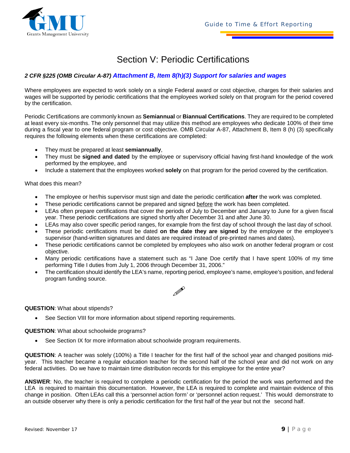

### Section V: Periodic Certifications

#### *2 CFR §225 (OMB Circular A-87) Attachment B, Item 8(h)(3) Support for salaries and wages*

Where employees are expected to work solely on a single Federal award or cost objective, charges for their salaries and wages will be supported by periodic certifications that the employees worked solely on that program for the period covered by the certification.

Periodic Certifications are commonly known as **Semiannual** or **Biannual Certifications**. They are required to be completed at least every six-months. The only personnel that may utilize this method are employees who dedicate 100% of their time during a fiscal year to one federal program or cost objective. OMB Circular A-87, Attachment B, Item 8 (h) (3) specifically requires the following elements when these certifications are completed:

- They must be prepared at least **semiannually**,
- They must be **signed and dated** by the employee or supervisory official having first-hand knowledge of the work performed by the employee, and
- Include a statement that the employees worked **solely** on that program for the period covered by the certification.

What does this mean?

- The employee or her/his supervisor must sign and date the periodic certification **after** the work was completed.
- These periodic certifications cannot be prepared and signed before the work has been completed.
- LEAs often prepare certifications that cover the periods of July to December and January to June for a given fiscal year. These periodic certifications are signed shortly after December 31 and after June 30.
- LEAs may also cover specific period ranges, for example from the first day of school through the last day of school.
- These periodic certifications must be dated **on the date they are signed** by the employee or the employee's supervisor (hand-written signatures and dates are required instead of pre-printed names and dates).
- These periodic certifications cannot be completed by employees who also work on another federal program or cost objective.
- Many periodic certifications have a statement such as "I Jane Doe certify that I have spent 100% of my time performing Title I duties from July 1, 2006 through December 31, 2006."
- The certification should identify the LEA's name, reporting period, employee's name, employee's position, and federal program funding source.



#### **QUESTION**: What about stipends?

• See Section VIII for more information about stipend reporting requirements.

**QUESTION**: What about schoolwide programs?

• See Section IX for more information about schoolwide program requirements.

**QUESTION**: A teacher was solely (100%) a Title I teacher for the first half of the school year and changed positions midyear. This teacher became a regular education teacher for the second half of the school year and did not work on any federal activities. Do we have to maintain time distribution records for this employee for the entire year?

**ANSWER**: No, the teacher is required to complete a periodic certification for the period the work was performed and the LEA is required to maintain this documentation. However, the LEA is required to complete and maintain evidence of this change in position. Often LEAs call this a 'personnel action form' or 'personnel action request.' This would demonstrate to an outside observer why there is only a periodic certification for the first half of the year but not the second half.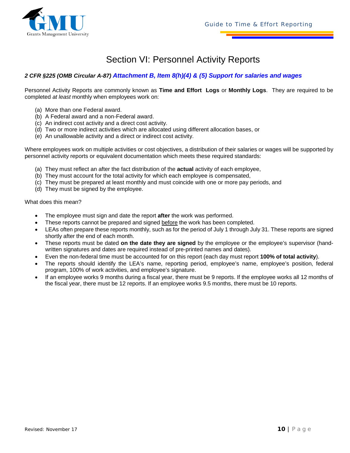

### Section VI: Personnel Activity Reports

#### *2 CFR §225 (OMB Circular A-87) Attachment B, Item 8(h)(4) & (5) Support for salaries and wages*

Personnel Activity Reports are commonly known as **Time and Effort Logs** or **Monthly Logs**. They are required to be completed *at least* monthly when employees work on:

- (a) More than one Federal award.
- (b) A Federal award and a non-Federal award.
- (c) An indirect cost activity and a direct cost activity.
- (d) Two or more indirect activities which are allocated using different allocation bases, or
- (e) An unallowable activity and a direct or indirect cost activity.

Where employees work on multiple activities or cost objectives, a distribution of their salaries or wages will be supported by personnel activity reports or equivalent documentation which meets these required standards:

- (a) They must reflect an after the fact distribution of the **actual** activity of each employee,
- (b) They must account for the total activity for which each employee is compensated,
- (c) They must be prepared at least monthly and must coincide with one or more pay periods, and
- (d) They must be signed by the employee.

What does this mean?

- The employee must sign and date the report **after** the work was performed.
- These reports cannot be prepared and signed before the work has been completed.
- LEAs often prepare these reports monthly, such as for the period of July 1 through July 31. These reports are signed shortly after the end of each month.
- These reports must be dated **on the date they are signed** by the employee or the employee's supervisor (handwritten signatures and dates are required instead of pre-printed names and dates).
- Even the non-federal time must be accounted for on this report (each day must report **100% of total activity**).
- The reports should identify the LEA's name, reporting period, employee's name, employee's position, federal program, 100% of work activities, and employee's signature.
- If an employee works 9 months during a fiscal year, there must be 9 reports. If the employee works all 12 months of the fiscal year, there must be 12 reports. If an employee works 9.5 months, there must be 10 reports.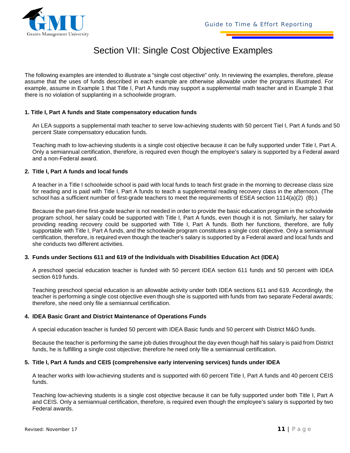

### Section VII: Single Cost Objective Examples

The following examples are intended to illustrate a "single cost objective" only. In reviewing the examples, therefore, please assume that the uses of funds described in each example are otherwise allowable under the programs illustrated. For example, assume in Example 1 that Title I, Part A funds may support a supplemental math teacher and in Example 3 that there is no violation of supplanting in a schoolwide program.

#### **1. Title I, Part A funds and State compensatory education funds**

An LEA supports a supplemental math teacher to serve low-achieving students with 50 percent Tiel I, Part A funds and 50 percent State compensatory education funds.

Teaching math to low-achieving students is a single cost objective because it can be fully supported under Title I, Part A. Only a semiannual certification, therefore, is required even though the employee's salary is supported by a Federal award and a non-Federal award.

#### **2. Title I, Part A funds and local funds**

A teacher in a Title I schoolwide school is paid with local funds to teach first grade in the morning to decrease class size for reading and is paid with Title I, Part A funds to teach a supplemental reading recovery class in the afternoon. (The school has a sufficient number of first-grade teachers to meet the requirements of ESEA section 1114(a)(2) (B).)

Because the part-time first-grade teacher is not needed in order to provide the basic education program in the schoolwide program school, her salary could be supported with Title I, Part A funds, even though it is not. Similarly, her salary for providing reading recovery could be supported with Title I, Part A funds. Both her functions, therefore, are fully supportable with Title I, Part A funds, and the schoolwide program constitutes a single cost objective. Only a semiannual certification, therefore, is required even though the teacher's salary is supported by a Federal award and local funds and she conducts two different activities.

#### **3. Funds under Sections 611 and 619 of the Individuals with Disabilities Education Act (IDEA)**

A preschool special education teacher is funded with 50 percent IDEA section 611 funds and 50 percent with IDEA section 619 funds.

Teaching preschool special education is an allowable activity under both IDEA sections 611 and 619. Accordingly, the teacher is performing a single cost objective even though she is supported with funds from two separate Federal awards; therefore, she need only file a semiannual certification.

#### **4. IDEA Basic Grant and District Maintenance of Operations Funds**

A special education teacher is funded 50 percent with IDEA Basic funds and 50 percent with District M&O funds.

Because the teacher is performing the same job duties throughout the day even though half his salary is paid from District funds, he is fulfilling a single cost objective; therefore he need only file a semiannual certification.

#### **5. Title I, Part A funds and CEIS (comprehensive early intervening services) funds under IDEA**

A teacher works with low-achieving students and is supported with 60 percent Title I, Part A funds and 40 percent CEIS funds.

Teaching low-achieving students is a single cost objective because it can be fully supported under both Title I, Part A and CEIS. Only a semiannual certification, therefore, is required even though the employee's salary is supported by two Federal awards.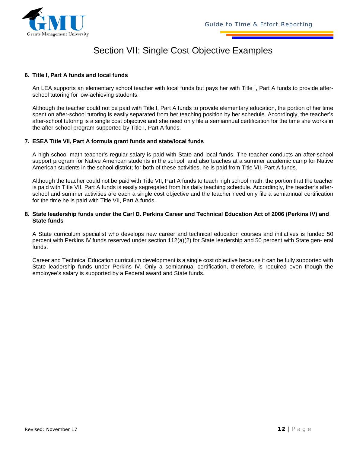

### Section VII: Single Cost Objective Examples

#### **6. Title I, Part A funds and local funds**

An LEA supports an elementary school teacher with local funds but pays her with Title I, Part A funds to provide afterschool tutoring for low-achieving students.

Although the teacher could not be paid with Title I, Part A funds to provide elementary education, the portion of her time spent on after-school tutoring is easily separated from her teaching position by her schedule. Accordingly, the teacher's after-school tutoring is a single cost objective and she need only file a semiannual certification for the time she works in the after-school program supported by Title I, Part A funds.

#### **7. ESEA Title VII, Part A formula grant funds and state/local funds**

A high school math teacher's regular salary is paid with State and local funds. The teacher conducts an after-school support program for Native American students in the school, and also teaches at a summer academic camp for Native American students in the school district; for both of these activities, he is paid from Title VII, Part A funds.

Although the teacher could not be paid with Title VII, Part A funds to teach high school math, the portion that the teacher is paid with Title VII, Part A funds is easily segregated from his daily teaching schedule. Accordingly, the teacher's afterschool and summer activities are each a single cost objective and the teacher need only file a semiannual certification for the time he is paid with Title VII, Part A funds.

#### **8. State leadership funds under the Carl D. Perkins Career and Technical Education Act of 2006 (Perkins IV) and State funds**

A State curriculum specialist who develops new career and technical education courses and initiatives is funded 50 percent with Perkins IV funds reserved under section 112(a)(2) for State leadership and 50 percent with State gen- eral funds.

Career and Technical Education curriculum development is a single cost objective because it can be fully supported with State leadership funds under Perkins IV. Only a semiannual certification, therefore, is required even though the employee's salary is supported by a Federal award and State funds.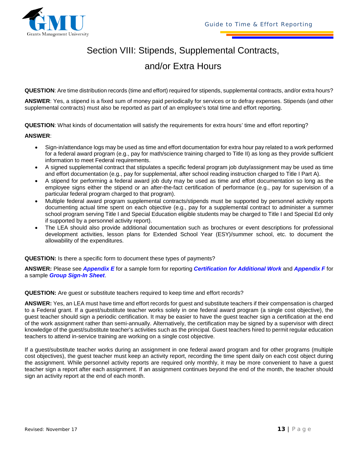

## Section VIII: Stipends, Supplemental Contracts,

### and/or Extra Hours

**QUESTION**: Are time distribution records (time and effort) required for stipends, supplemental contracts, and/or extra hours?

**ANSWER**: Yes, a stipend is a fixed sum of money paid periodically for services or to defray expenses. Stipends (and other supplemental contracts) must also be reported as part of an employee's total time and effort reporting.

**QUESTION**: What kinds of documentation will satisfy the requirements for extra hours' time and effort reporting?

#### **ANSWER**:

- Sign-in/attendance logs may be used as time and effort documentation for extra hour pay related to a work performed for a federal award program (e.g., pay for math/science training charged to Title II) as long as they provide sufficient information to meet Federal requirements.
- A signed supplemental contract that stipulates a specific federal program job duty/assignment may be used as time and effort documentation (e.g., pay for supplemental, after school reading instruction charged to Title I Part A).
- A stipend for performing a federal award job duty may be used as time and effort documentation so long as the employee signs either the stipend or an after-the-fact certification of performance (e.g., pay for supervision of a particular federal program charged to that program).
- Multiple federal award program supplemental contracts/stipends must be supported by personnel activity reports documenting actual time spent on each objective (e.g., pay for a supplemental contract to administer a summer school program serving Title I and Special Education eligible students may be charged to Title I and Special Ed only if supported by a personnel activity report).
- The LEA should also provide additional documentation such as brochures or event descriptions for professional development activities, lesson plans for Extended School Year (ESY)/summer school, etc. to document the allowability of the expenditures.

**QUESTION:** Is there a specific form to document these types of payments?

**ANSWER:** Please see *Appendix E* for a sample form for reporting *Certification for Additional Work* and *Appendix F* for a sample *Group Sign-In Sheet*.

**QUESTION:** Are guest or substitute teachers required to keep time and effort records?

**ANSWER:** Yes, an LEA must have time and effort records for guest and substitute teachers if their compensation is charged to a Federal grant. If a guest/substitute teacher works solely in one federal award program (a single cost objective), the guest teacher should sign a periodic certification. It may be easier to have the guest teacher sign a certification at the end of the work assignment rather than semi-annually. Alternatively, the certification may be signed by a supervisor with direct knowledge of the guest/substitute teacher's activities such as the principal. Guest teachers hired to permit regular education teachers to attend in-service training are working on a single cost objective.

If a guest/substitute teacher works during an assignment in one federal award program and for other programs (multiple cost objectives), the guest teacher must keep an activity report, recording the time spent daily on each cost object during the assignment. While personnel activity reports are required only monthly, it may be more convenient to have a guest teacher sign a report after each assignment. If an assignment continues beyond the end of the month, the teacher should sign an activity report at the end of each month.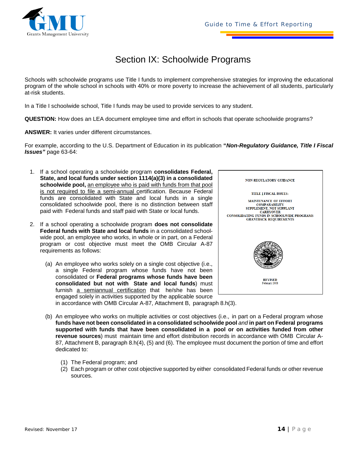### Section IX: Schoolwide Programs

Schools with schoolwide programs use Title I funds to implement comprehensive strategies for improving the educational program of the whole school in schools with 40% or more poverty to increase the achievement of all students, particularly at-risk students.

In a Title I schoolwide school, Title I funds may be used to provide services to any student.

**QUESTION:** How does an LEA document employee time and effort in schools that operate schoolwide programs?

**ANSWER:** It varies under different circumstances.

For example, according to the U.S. Department of Education in its publication **"***Non-Regulatory Guidance, Title I Fiscal Issues"* page 63-64:

- 1. If a school operating a schoolwide program **consolidates Federal, State, and local funds under section 1114(a)(3) in a consolidated schoolwide pool,** an employee who is paid with funds from that pool is not required to file a semi-annual certification. Because Federal funds are consolidated with State and local funds in a single consolidated schoolwide pool, there is no distinction between staff paid with Federal funds and staff paid with State or local funds.
- 2. If a school operating a schoolwide program **does not consolidate Federal funds with State and local funds** in a consolidated schoolwide pool, an employee who works, in whole or in part, on a Federal program or cost objective must meet the OMB Circular A-87 requirements as follows:
	- (a) An employee who works solely on a single cost objective (i.e., a single Federal program whose funds have not been consolidated or **Federal programs whose funds have been consolidated but not with State and local funds**) must furnish a semiannual certification that he/she has been engaged solely in activities supported by the applicable source



in accordance with OMB Circular A-87, Attachment B, paragraph 8.h(3).

- (b) An employee who works on multiple activities or cost objectives (i.e., in part on a Federal program whose **funds have not been consolidated in a consolidated schoolwide pool** *and* **in part on Federal programs supported with funds that have been consolidated in a pool or on activities funded from other revenue sources**) must maintain time and effort distribution records in accordance with OMB Circular A-87, Attachment B, paragraph 8.h(4), (5) and (6). The employee must document the portion of time and effort dedicated to:
	- (1) The Federal program; and
	- (2) Each program or other cost objective supported by either consolidated Federal funds or other revenue sources.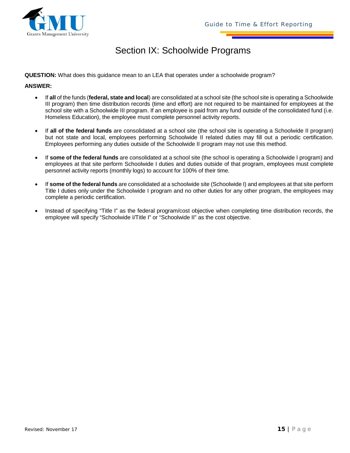

### Section IX: Schoolwide Programs

**QUESTION:** What does this guidance mean to an LEA that operates under a schoolwide program?

#### **ANSWER:**

- If **all** of the funds (**federal, state and local**) are consolidated at a school site (the school site is operating a Schoolwide III program) then time distribution records (time and effort) are not required to be maintained for employees at the school site with a Schoolwide III program. If an employee is paid from any fund outside of the consolidated fund (i.e. Homeless Education), the employee must complete personnel activity reports.
- If **all of the federal funds** are consolidated at a school site (the school site is operating a Schoolwide II program) but not state and local, employees performing Schoolwide II related duties may fill out a periodic certification. Employees performing any duties outside of the Schoolwide II program may not use this method.
- If **some of the federal funds** are consolidated at a school site (the school is operating a Schoolwide I program) and employees at that site perform Schoolwide I duties and duties outside of that program, employees must complete personnel activity reports (monthly logs) to account for 100% of their time.
- If **some of the federal funds** are consolidated at a schoolwide site (Schoolwide I) and employees at that site perform Title I duties only under the Schoolwide I program and no other duties for any other program, the employees may complete a periodic certification.
- Instead of specifying "Title I" as the federal program/cost objective when completing time distribution records, the employee will specify "Schoolwide I/Title I" or "Schoolwide II" as the cost objective.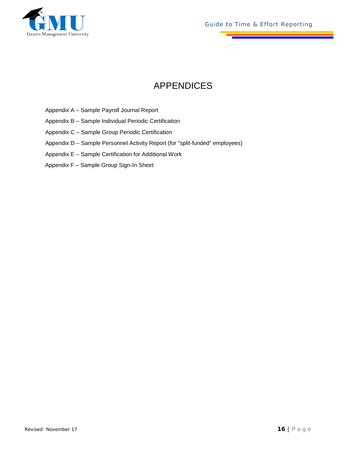

*Guide to Time & Effort Reporting*

## APPENDICES

- Appendix A Sample Payroll Journal Report
- Appendix B Sample Individual Periodic Certification
- Appendix C Sample Group Periodic Certification
- Appendix D Sample Personnel Activity Report (for "split-funded" employees)
- Appendix E Sample Certification for Additional Work
- Appendix F Sample Group Sign-In Sheet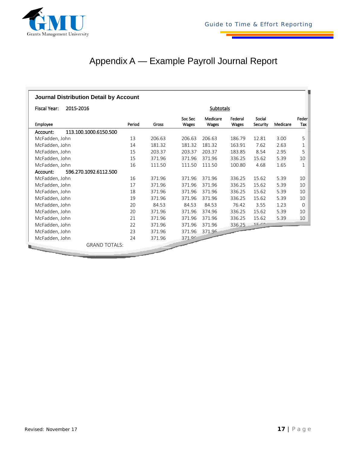

## Appendix A — Example Payroll Journal Report

| <b>Journal Distribution Detail by Account</b> |        |        |                  |                   |                  |                    |          |              |
|-----------------------------------------------|--------|--------|------------------|-------------------|------------------|--------------------|----------|--------------|
| Fiscal Year:<br>2015-2016                     |        |        |                  | <b>Subtotals</b>  |                  |                    |          |              |
| Employee                                      | Period | Gross  | Soc Sec<br>Wages | Medicare<br>Wages | Federal<br>Wages | Social<br>Security | Medicare | Feder<br>Tax |
| 113.100.1000.6150.500<br>Account:             |        |        |                  |                   |                  |                    |          |              |
| McFadden, John                                | 13     | 206.63 | 206.63           | 206.63            | 186.79           | 12.81              | 3.00     | 5            |
| McFadden, John                                | 14     | 181.32 | 181.32           | 181.32            | 163.91           | 7.62               | 2.63     | 1            |
| McFadden, John                                | 15     | 203.37 | 203.37           | 203.37            | 183.85           | 8.54               | 2.95     | 5            |
| McFadden, John                                | 15     | 371.96 | 371.96           | 371.96            | 336.25           | 15.62              | 5.39     | 10           |
| McFadden, John                                | 16     | 111.50 | 111.50           | 111.50            | 100.80           | 4.68               | 1.65     | 1            |
| 596.270.1092.6112.500<br>Account:             |        |        |                  |                   |                  |                    |          |              |
| McFadden, John                                | 16     | 371.96 | 371.96           | 371.96            | 336.25           | 15.62              | 5.39     | 10           |
| McFadden, John                                | 17     | 371.96 | 371.96           | 371.96            | 336.25           | 15.62              | 5.39     | 10           |
| McFadden, John                                | 18     | 371.96 | 371.96           | 371.96            | 336.25           | 15.62              | 5.39     | 10           |
| McFadden, John                                | 19     | 371.96 | 371.96           | 371.96            | 336.25           | 15.62              | 5.39     | 10           |
| McFadden, John                                | 20     | 84.53  | 84.53            | 84.53             | 76.42            | 3.55               | 1.23     | 0            |
| McFadden, John                                | 20     | 371.96 | 371.96           | 374.96            | 336.25           | 15.62              | 5.39     | 10           |
| McFadden, John                                | 21     | 371.96 | 371.96           | 371.96            | 336.25           | 15.62              | 5.39     | 10           |
| McFadden, John                                | 22     | 371.96 | 371.96           | 371.96            | 336.25           | $15 - C$           |          |              |
| McFadden, John                                | 23     | 371.96 | 371.96           | 371.96            |                  |                    |          |              |
| McFadden, John                                | 24     | 371.96 | $371$ or         |                   |                  |                    |          |              |
| <b>GRAND TOTALS:</b>                          |        |        |                  |                   |                  |                    |          |              |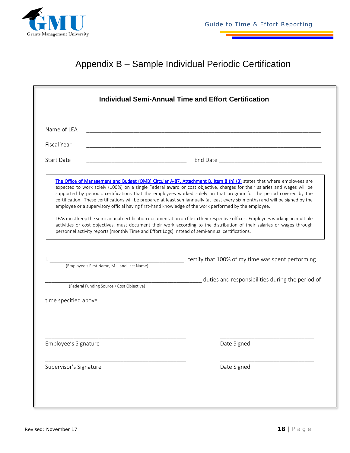

## Appendix B – Sample Individual Periodic Certification

|                                                                         |                                                                                                                       | <b>Individual Semi-Annual Time and Effort Certification</b>                                                                                                                                                                                                                                                                                                                                                                                                                                                                                                                                                                   |
|-------------------------------------------------------------------------|-----------------------------------------------------------------------------------------------------------------------|-------------------------------------------------------------------------------------------------------------------------------------------------------------------------------------------------------------------------------------------------------------------------------------------------------------------------------------------------------------------------------------------------------------------------------------------------------------------------------------------------------------------------------------------------------------------------------------------------------------------------------|
| Name of LEA                                                             | <u> 1989 - Johann Barn, mars ar breithinn ar chuid ann an t-Alban ann an t-Alban ann an t-Alban ann an t-Alban a</u>  |                                                                                                                                                                                                                                                                                                                                                                                                                                                                                                                                                                                                                               |
| <b>Fiscal Year</b>                                                      | <u> 1989 - Johann Stoff, deutscher Stoff, der Stoff, der Stoff, der Stoff, der Stoff, der Stoff, der Stoff, der S</u> |                                                                                                                                                                                                                                                                                                                                                                                                                                                                                                                                                                                                                               |
| <b>Start Date</b>                                                       |                                                                                                                       |                                                                                                                                                                                                                                                                                                                                                                                                                                                                                                                                                                                                                               |
|                                                                         |                                                                                                                       | expected to work solely (100%) on a single Federal award or cost objective, charges for their salaries and wages will be<br>supported by periodic certifications that the employees worked solely on that program for the period covered by the<br>certification. These certifications will be prepared at least semiannually (at least every six months) and will be signed by the<br>employee or a supervisory official having first-hand knowledge of the work performed by the employee.<br>LEAs must keep the semi-annual certification documentation on file in their respective offices. Employees working on multiple |
|                                                                         |                                                                                                                       | activities or cost objectives, must document their work according to the distribution of their salaries or wages through<br>personnel activity reports (monthly Time and Effort Logs) instead of semi-annual certifications.                                                                                                                                                                                                                                                                                                                                                                                                  |
|                                                                         | (Employee's First Name, M.I. and Last Name)                                                                           |                                                                                                                                                                                                                                                                                                                                                                                                                                                                                                                                                                                                                               |
|                                                                         | (Federal Funding Source / Cost Objective)                                                                             | duties and responsibilities during the period of                                                                                                                                                                                                                                                                                                                                                                                                                                                                                                                                                                              |
|                                                                         |                                                                                                                       |                                                                                                                                                                                                                                                                                                                                                                                                                                                                                                                                                                                                                               |
|                                                                         |                                                                                                                       |                                                                                                                                                                                                                                                                                                                                                                                                                                                                                                                                                                                                                               |
|                                                                         |                                                                                                                       |                                                                                                                                                                                                                                                                                                                                                                                                                                                                                                                                                                                                                               |
|                                                                         |                                                                                                                       | Date Signed                                                                                                                                                                                                                                                                                                                                                                                                                                                                                                                                                                                                                   |
| time specified above.<br>Employee's Signature<br>Supervisor's Signature |                                                                                                                       | Date Signed                                                                                                                                                                                                                                                                                                                                                                                                                                                                                                                                                                                                                   |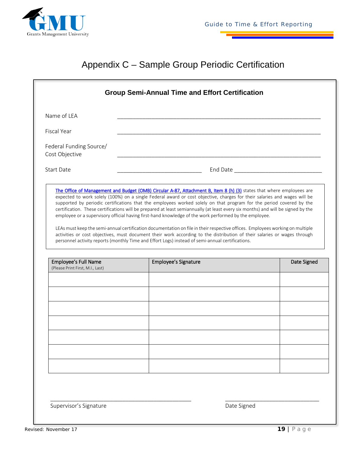

## Appendix C – Sample Group Periodic Certification

| Name of LEA                                                     |                                                                                                                                                                                                                                                                                                                                                                                                                                                                                                                                                                                                            |                                                                                                                 |
|-----------------------------------------------------------------|------------------------------------------------------------------------------------------------------------------------------------------------------------------------------------------------------------------------------------------------------------------------------------------------------------------------------------------------------------------------------------------------------------------------------------------------------------------------------------------------------------------------------------------------------------------------------------------------------------|-----------------------------------------------------------------------------------------------------------------|
| <b>Fiscal Year</b>                                              |                                                                                                                                                                                                                                                                                                                                                                                                                                                                                                                                                                                                            |                                                                                                                 |
| Federal Funding Source/<br>Cost Objective                       |                                                                                                                                                                                                                                                                                                                                                                                                                                                                                                                                                                                                            |                                                                                                                 |
| <b>Start Date</b>                                               |                                                                                                                                                                                                                                                                                                                                                                                                                                                                                                                                                                                                            | End Date Lawrence and Date Lawrence and Date Lawrence and Date Lawrence and Date Lawrence and Date Lawrence and |
|                                                                 |                                                                                                                                                                                                                                                                                                                                                                                                                                                                                                                                                                                                            |                                                                                                                 |
|                                                                 | certification. These certifications will be prepared at least semiannually (at least every six months) and will be signed by the<br>employee or a supervisory official having first-hand knowledge of the work performed by the employee.<br>LEAs must keep the semi-annual certification documentation on file in their respective offices. Employees working on multiple<br>activities or cost objectives, must document their work according to the distribution of their salaries or wages through<br>personnel activity reports (monthly Time and Effort Logs) instead of semi-annual certifications. |                                                                                                                 |
| <b>Employee's Full Name</b><br>(Please Print First, M.I., Last) | Employee's Signature                                                                                                                                                                                                                                                                                                                                                                                                                                                                                                                                                                                       | Date Signed                                                                                                     |
|                                                                 |                                                                                                                                                                                                                                                                                                                                                                                                                                                                                                                                                                                                            |                                                                                                                 |
|                                                                 |                                                                                                                                                                                                                                                                                                                                                                                                                                                                                                                                                                                                            |                                                                                                                 |
|                                                                 |                                                                                                                                                                                                                                                                                                                                                                                                                                                                                                                                                                                                            |                                                                                                                 |
|                                                                 |                                                                                                                                                                                                                                                                                                                                                                                                                                                                                                                                                                                                            |                                                                                                                 |
|                                                                 |                                                                                                                                                                                                                                                                                                                                                                                                                                                                                                                                                                                                            |                                                                                                                 |
|                                                                 |                                                                                                                                                                                                                                                                                                                                                                                                                                                                                                                                                                                                            |                                                                                                                 |

\_\_\_\_\_\_\_\_\_\_\_\_\_\_\_\_\_\_\_\_\_\_\_\_\_\_\_\_\_\_\_\_\_\_\_\_\_\_\_\_\_\_\_\_\_ \_\_\_\_\_\_\_\_\_\_\_\_\_\_\_\_\_\_\_\_\_\_\_\_\_\_\_\_\_\_

Supervisor's Signature and Communications of the Signed Date Signed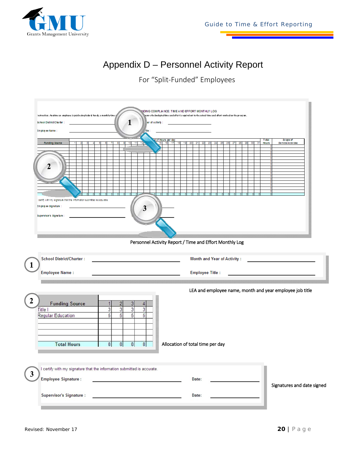

## Appendix D – Personnel Activity Report

For "Split-Funded" Employees



Personnel Activity Report / Time and Effort Monthly Log

| $\mathbf{1}$ | <b>School District/Charter:</b>            |                                                                       | <b>Month and Year of Activity:</b>                       |                            |
|--------------|--------------------------------------------|-----------------------------------------------------------------------|----------------------------------------------------------|----------------------------|
|              | <b>Employee Name:</b>                      |                                                                       | <b>Employee Title:</b>                                   |                            |
|              |                                            |                                                                       |                                                          |                            |
|              |                                            |                                                                       | LEA and employee name, month and year employee job title |                            |
|              | <b>Funding Source</b>                      |                                                                       |                                                          |                            |
|              | <b>Title I</b><br><b>Regular Education</b> | 3<br>3<br>3<br>5<br>5<br>5<br>5                                       |                                                          |                            |
|              |                                            |                                                                       |                                                          |                            |
|              |                                            |                                                                       |                                                          |                            |
|              | <b>Total Hours</b>                         | 8 <br> 8 <br> 8 <br>8 <sup>1</sup>                                    | Allocation of total time per day                         |                            |
|              |                                            |                                                                       |                                                          |                            |
|              |                                            |                                                                       |                                                          |                            |
| $\mathbf{3}$ |                                            | certify with my signature that the information submitted is accurate. |                                                          |                            |
|              | <b>Employee Signature:</b>                 |                                                                       | Date:                                                    | Signatures and date signed |
|              | <b>Supervisor's Signature:</b>             |                                                                       | Date:                                                    |                            |
|              |                                            |                                                                       |                                                          |                            |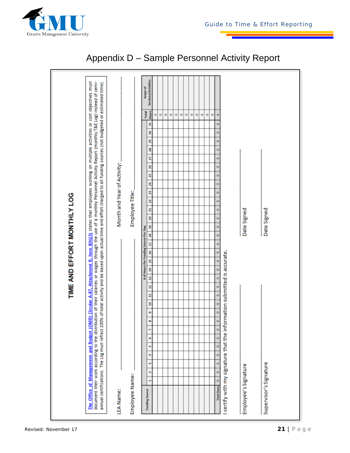

| The Office of Management and Budget (OMB) Circular A-87, Attachment B, Item 8(h)(3) states that employees working on multiple activities or cost objectives must<br>document their work according to the distribution of their salaries or wages through the use of a monthly Personnel Activity Report (monthly T&E Log) instead of semi-<br>annual certifications. The Log must reflect 100% of total activity and be based upon actual time and effort charged to all funding sources (not budgeted or estimated time). |         |                          |         |                      |           |         |         |         |         |         |         |                                             |                      |         |         |         |                                       |         |             |    |    |                        |    |         |                             |         |   |    |   |         |                      |                     |
|----------------------------------------------------------------------------------------------------------------------------------------------------------------------------------------------------------------------------------------------------------------------------------------------------------------------------------------------------------------------------------------------------------------------------------------------------------------------------------------------------------------------------|---------|--------------------------|---------|----------------------|-----------|---------|---------|---------|---------|---------|---------|---------------------------------------------|----------------------|---------|---------|---------|---------------------------------------|---------|-------------|----|----|------------------------|----|---------|-----------------------------|---------|---|----|---|---------|----------------------|---------------------|
| LEA Name:                                                                                                                                                                                                                                                                                                                                                                                                                                                                                                                  |         |                          |         |                      |           |         |         |         |         |         |         |                                             |                      |         |         |         |                                       |         |             |    |    |                        |    |         | Month and Year of Activity: |         |   |    |   |         |                      |                     |
| <b>Employee Name:</b>                                                                                                                                                                                                                                                                                                                                                                                                                                                                                                      |         |                          |         |                      |           |         |         |         |         |         |         |                                             |                      |         |         |         |                                       |         |             |    |    | <b>Employee Title:</b> |    |         |                             |         |   |    |   |         |                      |                     |
|                                                                                                                                                                                                                                                                                                                                                                                                                                                                                                                            |         |                          |         |                      |           |         |         |         |         |         |         |                                             |                      |         |         |         | # of Hours Per Funding Source Per Day |         |             |    |    |                        |    |         |                             |         |   |    |   |         | <b>Total</b>         | Scope of            |
| <b>Funding Source</b>                                                                                                                                                                                                                                                                                                                                                                                                                                                                                                      | H       | N                        | m       | ÷                    | <u>in</u> | ø       | r       | œ       | ø       | 9       | H       | q                                           | 9                    | ă       | 15      | 16      | a                                     | 99      | 9           | 20 | Z, | 22                     | 23 | Z,      | 25                          | 26      | Z | 28 | g | g       | <b>Hours</b><br>55   | Services/Activities |
|                                                                                                                                                                                                                                                                                                                                                                                                                                                                                                                            |         |                          |         |                      |           |         |         |         |         |         |         |                                             |                      |         |         |         |                                       |         |             |    |    |                        |    |         |                             |         |   |    |   |         | $\circ$<br>$\bullet$ |                     |
|                                                                                                                                                                                                                                                                                                                                                                                                                                                                                                                            |         |                          |         |                      |           |         |         |         |         |         |         |                                             |                      |         |         |         |                                       |         |             |    |    |                        |    |         |                             |         |   |    |   |         | $\circ$              |                     |
|                                                                                                                                                                                                                                                                                                                                                                                                                                                                                                                            |         |                          |         |                      |           |         |         |         |         |         |         |                                             |                      |         |         |         |                                       |         |             |    |    |                        |    |         |                             |         |   |    |   |         | $\circ$              |                     |
|                                                                                                                                                                                                                                                                                                                                                                                                                                                                                                                            |         |                          |         |                      |           |         |         |         |         |         |         |                                             |                      |         |         |         |                                       |         |             |    |    |                        |    |         |                             |         |   |    |   |         | $\circ$              |                     |
|                                                                                                                                                                                                                                                                                                                                                                                                                                                                                                                            |         |                          |         |                      |           |         |         |         |         |         |         |                                             |                      |         |         |         |                                       |         |             |    |    |                        |    |         |                             |         |   |    |   |         | $\circ$              |                     |
|                                                                                                                                                                                                                                                                                                                                                                                                                                                                                                                            |         |                          |         |                      |           |         |         |         |         |         |         |                                             |                      |         |         |         |                                       |         |             |    |    |                        |    |         |                             |         |   |    |   |         | $\circ$<br>$\circ$   |                     |
|                                                                                                                                                                                                                                                                                                                                                                                                                                                                                                                            |         |                          |         |                      |           |         |         |         |         |         |         |                                             |                      |         |         |         |                                       |         |             |    |    |                        |    |         |                             |         |   |    |   |         | $\circ$              |                     |
|                                                                                                                                                                                                                                                                                                                                                                                                                                                                                                                            |         |                          |         |                      |           |         |         |         |         |         |         |                                             |                      |         |         |         |                                       |         |             |    |    |                        |    |         |                             |         |   |    |   |         | $\circ$              |                     |
|                                                                                                                                                                                                                                                                                                                                                                                                                                                                                                                            |         |                          |         |                      |           |         |         |         |         |         |         |                                             |                      |         |         |         |                                       |         |             |    |    |                        |    |         |                             |         |   |    |   |         | $\circ$              |                     |
|                                                                                                                                                                                                                                                                                                                                                                                                                                                                                                                            |         |                          |         |                      |           |         |         |         |         |         |         |                                             |                      |         |         |         |                                       |         |             |    |    |                        |    |         |                             |         |   |    |   |         | $\circ$              |                     |
| certify with my signature that the inf<br><b>Total Hours</b>                                                                                                                                                                                                                                                                                                                                                                                                                                                               | $\circ$ | $\overline{\phantom{0}}$ | $\circ$ | $\ddot{\phantom{0}}$ | $\circ$   | $\circ$ | $\circ$ | $\circ$ | $\circ$ | $\circ$ | $\circ$ | formation submitted is accurate.<br>$\circ$ | $\ddot{\phantom{0}}$ | $\circ$ | $\circ$ | $\circ$ | $\circ$                               | $\circ$ | $\circ$     | 0  | 0  | $\circ$                | o  | $\circ$ | $\circ$                     | $\circ$ | o | o  | o | $\circ$ | $\circ$<br>$\circ$   |                     |
|                                                                                                                                                                                                                                                                                                                                                                                                                                                                                                                            |         |                          |         |                      |           |         |         |         |         |         |         |                                             |                      |         |         |         |                                       |         |             |    |    |                        |    |         |                             |         |   |    |   |         |                      |                     |
| Employee's Signature                                                                                                                                                                                                                                                                                                                                                                                                                                                                                                       |         |                          |         |                      |           |         |         |         |         |         |         |                                             |                      |         |         |         |                                       |         | Date Signed |    |    |                        |    |         |                             |         |   |    |   |         |                      |                     |
| Supervisor's Signature                                                                                                                                                                                                                                                                                                                                                                                                                                                                                                     |         |                          |         |                      |           |         |         |         |         |         |         |                                             |                      |         |         |         |                                       |         | Date Signed |    |    |                        |    |         |                             |         |   |    |   |         |                      |                     |
|                                                                                                                                                                                                                                                                                                                                                                                                                                                                                                                            |         |                          |         |                      |           |         |         |         |         |         |         |                                             |                      |         |         |         |                                       |         |             |    |    |                        |    |         |                             |         |   |    |   |         |                      |                     |
|                                                                                                                                                                                                                                                                                                                                                                                                                                                                                                                            |         |                          |         |                      |           |         |         |         |         |         |         |                                             |                      |         |         |         |                                       |         |             |    |    |                        |    |         |                             |         |   |    |   |         |                      |                     |

## Appendix D – Sample Personnel Activity Report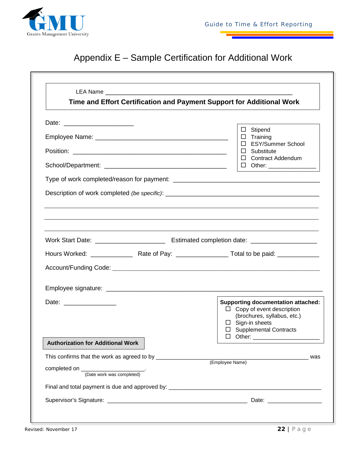

## Appendix E – Sample Certification for Additional Work

|                                          | Time and Effort Certification and Payment Support for Additional Work                                                     |
|------------------------------------------|---------------------------------------------------------------------------------------------------------------------------|
|                                          |                                                                                                                           |
|                                          | $\Box$ Stipend<br>$\Box$ Training<br>□ ESY/Summer School                                                                  |
|                                          | $\Box$ Substitute<br>$\Box$ Contract Addendum<br>□ Other: ________________                                                |
|                                          |                                                                                                                           |
|                                          |                                                                                                                           |
|                                          |                                                                                                                           |
|                                          |                                                                                                                           |
|                                          |                                                                                                                           |
|                                          |                                                                                                                           |
|                                          |                                                                                                                           |
|                                          |                                                                                                                           |
|                                          |                                                                                                                           |
|                                          |                                                                                                                           |
|                                          |                                                                                                                           |
| Date: __________________                 | $\Box$ Copy of event description<br>(brochures, syllabus, etc.)<br>$\Box$ Sign-in sheets<br>$\Box$ Supplemental Contracts |
| <b>Authorization for Additional Work</b> |                                                                                                                           |
|                                          | <b>Supporting documentation attached:</b><br>was                                                                          |
|                                          | (Employee Name)                                                                                                           |
|                                          |                                                                                                                           |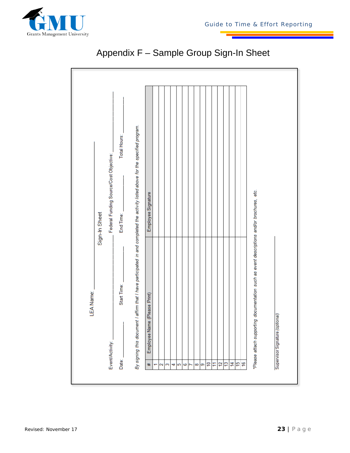

|              |                                                              |                    |  |  |  |  |  |  |  | endix F - Sample Group Sign-In Sheet |   |  |
|--------------|--------------------------------------------------------------|--------------------|--|--|--|--|--|--|--|--------------------------------------|---|--|
|              |                                                              |                    |  |  |  |  |  |  |  |                                      |   |  |
| Total Hours: | mpleted the activity listed above for the specified program. |                    |  |  |  |  |  |  |  |                                      |   |  |
| End Time:    |                                                              | Employee Signature |  |  |  |  |  |  |  | ns and/or brochures, etc.            | т |  |

### Appendix F – Sample Group Sign-In Sheet